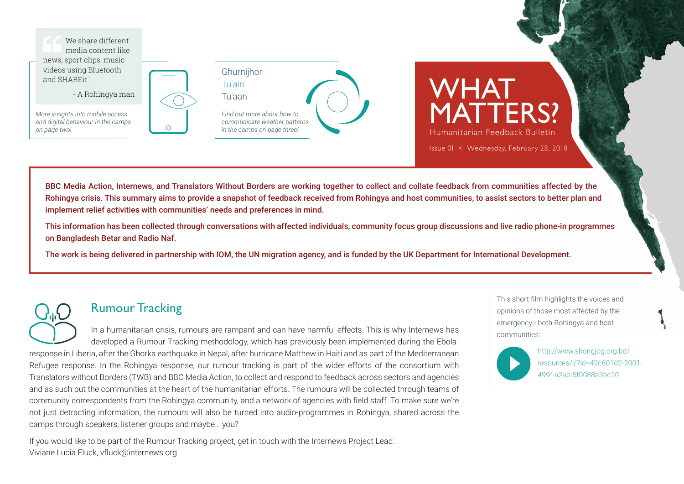

- A Rohingya man

*More insights into mobile access and digital behaviour in the camps on page two!*





MATTERS? Humanitarian Feedback Bulletin Issue 0I × Wednesday, February 28, 2018

WHAT

BBC Media Action, Internews, and Translators Without Borders are working together to collect and collate feedback from communities affected by the Rohingya crisis. This summary aims to provide a snapshot of feedback received from Rohingya and host communities, to assist sectors to better plan and implement relief activities with communities' needs and preferences in mind.

This information has been collected through conversations with affected individuals, community focus group discussions and live radio phone-in programmes on Bangladesh Betar and Radio Naf.

The work is being delivered in partnership with IOM, the UN migration agency, and is funded by the UK Department for International Development.

# Rumour Tracking

In a humanitarian crisis, rumours are rampant and can have harmful effects. This is why Internews has developed a Rumour Tracking-methodology, which has previously been implemented during the Ebolaresponse in Liberia, after the Ghorka earthquake in Nepal, after hurricane Matthew in Haiti and as part of the Mediterranean Refugee response. In the Rohingya response, our rumour tracking is part of the wider efforts of the consortium with Translators without Borders (TWB) and BBC Media Action, to collect and respond to feedback across sectors and agencies and as such put the communities at the heart of the humanitarian efforts. The rumours will be collected through teams of community correspondents from the Rohingya community, and a network of agencies with field staff. To make sure we're not just detracting information, the rumours will also be turned into audio-programmes in Rohingya, shared across the camps through speakers, listener groups and maybe… you?

If you would like to be part of the Rumour Tracking project, get in touch with the Internews Project Lead: Viviane Lucia Fluck, [vfluck@internews.org](mailto:vfluck%40internews.org?subject=)

This short film highlights the voices and opinions of those most affected by the emergency - both Rohingya and host communities:



[http://www.shongjog.org.bd/](http://www.shongjog.org.bd/resources/i/?id=42c601d2-2001-499f-a2ab-5f0088a3bc10) [resources/i/?id=42c601d2-2001-](http://www.shongjog.org.bd/resources/i/?id=42c601d2-2001-499f-a2ab-5f0088a3bc10) [499f-a2ab-5f0088a3bc10](http://www.shongjog.org.bd/resources/i/?id=42c601d2-2001-499f-a2ab-5f0088a3bc10)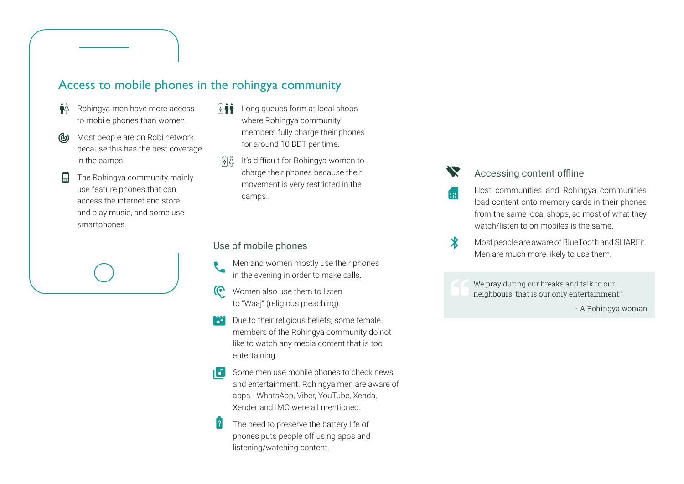## Access to mobile phones in the rohingya community

- $\mathbf{\hat{I}}^{\circ}$ Rohingya men have more access to mobile phones than women.
- Most people are on Robi network (d) because this has the best coverage in the camps.
- The Rohingya community mainly use feature phones that can access the internet and store and play music, and some use smartphones.
- Long queues form at local shops  $\frac{1}{2}$ where Rohingya community members fully charge their phones for around 10 BDT per time.
- It's difficult for Rohingya women to charge their phones because their movement is very restricted in the camps.

### Use of mobile phones

- Men and women mostly use their phones in the evening in order to make calls.
- Women also use them to listen to "Waaj" (religious preaching).
- Due to their religious beliefs, some female EXT. members of the Rohingya community do not like to watch any media content that is too entertaining.
- $\begin{bmatrix} \mathbf{J} \\ \mathbf{J} \end{bmatrix}$  Some men use mobile phones to check news and entertainment. Rohingya men are aware of apps - WhatsApp, Viber, YouTube, Xenda, Xender and IMO were all mentioned.
	- The need to preserve the battery life of phones puts people off using apps and listening/watching content.

## Accessing content offline

œ

- Host communities and Rohingya communities load content onto memory cards in their phones from the same local shops, so most of what they watch/listen to on mobiles is the same.
- $\mathbf{\mathbf{\ast}}$ Most people are aware of BlueTooth and SHAREit. Men are much more likely to use them.

We pray during our breaks and talk to our neighbours, that is our only entertainment."

- A Rohingya woman